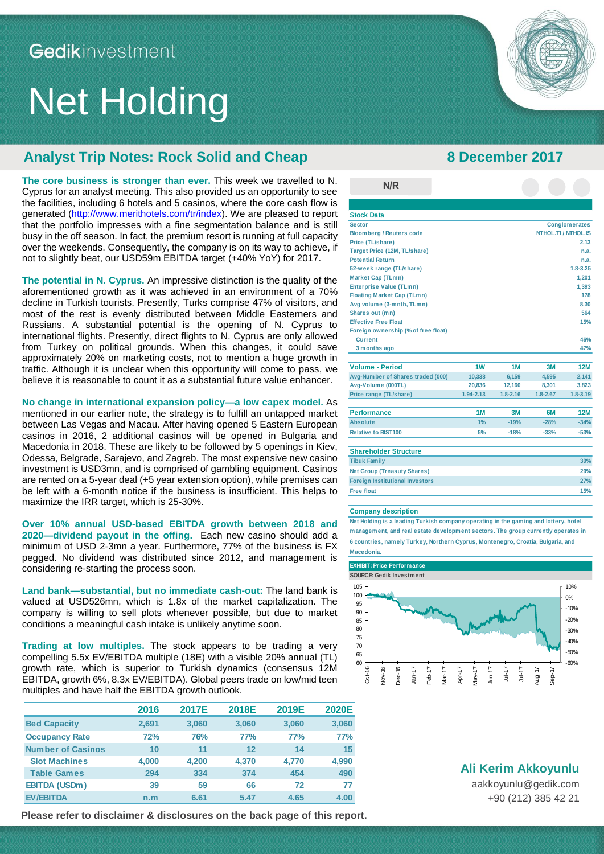# Net Holding

## **Analyst Trip Notes: Rock Solid and Cheap 8 December 2017**

**The core business is stronger than ever.** This week we travelled to N. Cyprus for an analyst meeting. This also provided us an opportunity to see the facilities, including 6 hotels and 5 casinos, where the core cash flow is generated [\(http://www.merithotels.com/tr/index\)](http://www.merithotels.com/tr/index). We are pleased to report that the portfolio impresses with a fine segmentation balance and is still busy in the off season. In fact, the premium resort is running at full capacity over the weekends. Consequently, the company is on its way to achieve, if not to slightly beat, our USD59m EBITDA target (+40% YoY) for 2017.

**The potential in N. Cyprus.** An impressive distinction is the quality of the aforementioned growth as it was achieved in an environment of a 70% decline in Turkish tourists. Presently, Turks comprise 47% of visitors, and most of the rest is evenly distributed between Middle Easterners and Russians. A substantial potential is the opening of N. Cyprus to international flights. Presently, direct flights to N. Cyprus are only allowed from Turkey on political grounds. When this changes, it could save approximately 20% on marketing costs, not to mention a huge growth in traffic. Although it is unclear when this opportunity will come to pass, we believe it is reasonable to count it as a substantial future value enhancer.

waccuonia in 2010. These are likely to be followed by 5 operinitys in Rick,<br>Odessa, Belgrade, Sarajevo, and Zagreb. The most expensive new casino **No change in international expansion policy—a low capex model.** As mentioned in our earlier note, the strategy is to fulfill an untapped market between Las Vegas and Macau. After having opened 5 Eastern European casinos in 2016, 2 additional casinos will be opened in Bulgaria and Macedonia in 2018. These are likely to be followed by 5 openings in Kiev, investment is USD3mn, and is comprised of gambling equipment. Casinos are rented on a 5-year deal (+5 year extension option), while premises can be left with a 6-month notice if the business is insufficient. This helps to maximize the IRR target, which is 25-30%.

**Over 10% annual USD-based EBITDA growth between 2018 and 2020—dividend payout in the offing.** Each new casino should add a minimum of USD 2-3mn a year. Furthermore, 77% of the business is FX pegged. No dividend was distributed since 2012, and management is considering re-starting the process soon.

**Land bank—substantial, but no immediate cash-out:** The land bank is valued at USD526mn, which is 1.8x of the market capitalization. The company is willing to sell plots whenever possible, but due to market conditions a meaningful cash intake is unlikely anytime soon.

**Trading at low multiples.** The stock appears to be trading a very compelling 5.5x EV/EBITDA multiple (18E) with a visible 20% annual (TL) growth rate, which is superior to Turkish dynamics (consensus 12M EBITDA, growth 6%, 8.3x EV/EBITDA). Global peers trade on low/mid teen multiples and have half the EBITDA growth outlook.

|                          | 2016  | 2017E      | 2018E | 2019E | <b>2020E</b> |
|--------------------------|-------|------------|-------|-------|--------------|
| <b>Bed Capacity</b>      | 2.691 | 3,060      | 3,060 | 3,060 | 3,060        |
| <b>Occupancy Rate</b>    | 72%   | <b>76%</b> | 77%   | 77%   | 77%          |
| <b>Number of Casinos</b> | 10    | 11         | 12    | 14    | 15           |
| <b>Slot Machines</b>     | 4,000 | 4.200      | 4.370 | 4.770 | 4,990        |
| <b>Table Games</b>       | 294   | 334        | 374   | 454   | 490          |
| <b>EBITDA (USDm)</b>     | 39    | 59         | 66    | 72    | 77           |
| <b>EV/EBITDA</b>         | n.m   | 6.61       | 5.47  | 4.65  | 4.00         |

**Please refer to disclaimer & disclosures on the back page of this report. Please refer to disclaimer & disclosures on the back page of this report.**

Gedik Investment

| <b>Stock Data</b>                      |           |              |              |                      |  |
|----------------------------------------|-----------|--------------|--------------|----------------------|--|
| <b>Sector</b>                          |           |              |              | <b>Conglomerates</b> |  |
| <b>Bloomberg / Reuters code</b>        |           |              |              | NTHOL.TI / NTHOL.IS  |  |
| Price (TL/share)                       |           |              |              | 2.13                 |  |
| Target Price (12M, TL/share)           |           |              |              | n.a.                 |  |
| <b>Potential Return</b>                |           |              |              | n.a.                 |  |
| 52-week range (TL/share)               |           |              |              | $1.8 - 3.25$         |  |
| <b>Market Cap (TLmn)</b>               |           |              |              | 1,201                |  |
| <b>Enterprise Value (TLmn)</b>         |           |              | 1,393        |                      |  |
| <b>Floating Market Cap (TLmn)</b>      |           |              | 178          |                      |  |
| Avg volume (3-mnth, TLmn)              |           |              |              | 8.30                 |  |
| Shares out (mn)                        |           |              |              | 564                  |  |
| <b>Effective Free Float</b>            |           |              |              | 15%                  |  |
| Foreign ownership (% of free float)    |           |              |              |                      |  |
| Current                                |           |              |              | 46%                  |  |
| 3 months ago                           |           |              |              | 47%                  |  |
|                                        |           |              |              |                      |  |
| <b>Volume - Period</b>                 | 1W        | 1M           | 3M           | <b>12M</b>           |  |
| Avg-Number of Shares traded (000)      | 10,338    | 6,159        | 4,595        | 2,141                |  |
| Avg-Volume (000TL)                     | 20,836    | 12,160       | 8,301        | 3,823                |  |
| Price range (TL/share)                 | 1.94-2.13 | $1.8 - 2.16$ | $1.8 - 2.67$ | $1.8 - 3.19$         |  |
| <b>Performance</b>                     | 1M        | 3M           | 6M           | <b>12M</b>           |  |
| <b>Absolute</b>                        | 1%        | $-19%$       | $-28%$       | $-34%$               |  |
| <b>Relative to BIST100</b>             | 5%        | $-18%$       | $-33%$       | $-53%$               |  |
|                                        |           |              |              |                      |  |
| <b>Shareholder Structure</b>           |           |              |              |                      |  |
| <b>Tibuk Family</b>                    |           |              |              | 30%                  |  |
| <b>Net Group (Treasuty Shares)</b>     |           |              |              | 29%                  |  |
| <b>Foreign Institutional Investors</b> |           |              |              | 27%                  |  |
| <b>Free float</b>                      |           |              |              | 15%                  |  |

#### **Company description**

**N/R**

**Net Holding is a leading Turkish company operating in the gaming and lottery, hotel management, and real estate development sectors. The group currently operates in 6 countries, namely Turkey, Northern Cyprus, Montenegro, Croatia, Bulgaria, and Macedonia.**



**Ali Kerim Akkoyunlu**

[aakkoyunlu@gedik.com](mailto:lipsum@gedik.com) +90 (212) 385 42 21

**1**

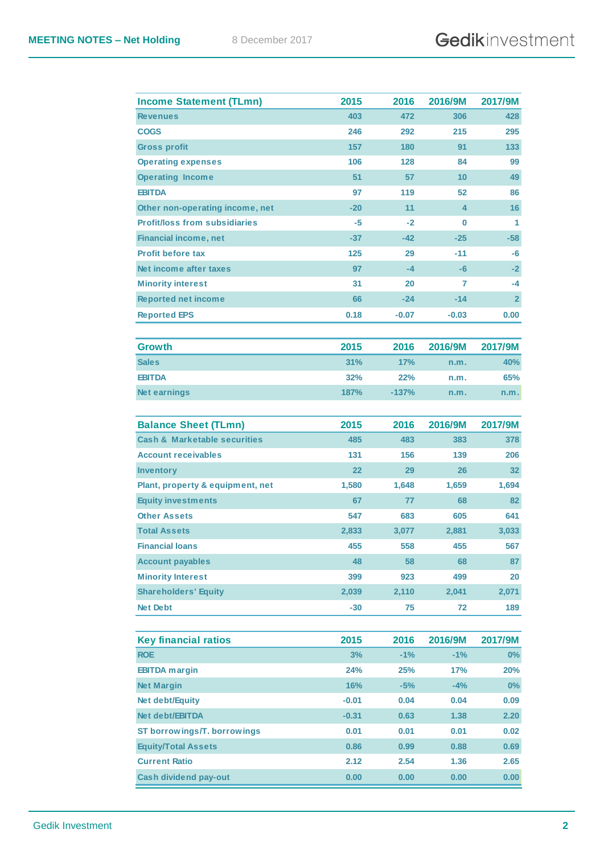| 403<br>472<br>428<br><b>Revenues</b><br>306<br>246<br>215<br>295<br><b>COGS</b><br>292<br><b>Gross profit</b><br>157<br>180<br>133<br>91<br><b>Operating expenses</b><br>106<br>128<br>84<br>99<br>51<br><b>Operating Income</b><br>57<br>10<br>49<br><b>EBITDA</b><br>97<br>119<br>52<br>86<br>$-20$<br>11<br>4<br>16<br>Other non-operating income, net<br><b>Profit/loss from subsidiaries</b><br>-5<br>0<br>1<br>-2<br>$-42$<br>$-25$<br>$-58$<br><b>Financial income, net</b><br>$-37$<br><b>Profit before tax</b><br>125<br>-11<br>29<br>-6<br>Net income after taxes<br>97<br>$-4$<br>$-6$<br>$-2$<br><b>Minority interest</b><br>31<br>20<br>-4<br>7<br>66<br>$-14$<br><b>Reported net income</b><br>$-24$<br>$\mathbf{2}$<br>0.18<br><b>Reported EPS</b><br>$-0.07$<br>$-0.03$<br>0.00<br><b>Growth</b><br>2015<br>2016<br>2016/9M<br>2017/9M<br><b>Sales</b><br>31%<br>17%<br>40%<br>n.m.<br><b>EBITDA</b><br>32%<br>22%<br>65%<br>n.m.<br><b>Net earnings</b><br>187%<br>$-137%$<br>n.m.<br>n.m.<br>2015<br>2017/9M<br><b>Balance Sheet (TLmn)</b><br>2016<br>2016/9M<br><b>Cash &amp; Marketable securities</b><br>485<br>483<br>383<br>378<br><b>Account receivables</b><br>131<br>156<br>139<br>206<br>22<br>29<br>26<br>32<br><b>Inventory</b><br>Plant, property & equipment, net<br>1,580<br>1,659<br>1,694<br>1,648<br><b>Equity investments</b><br>67<br>77<br>68<br>82<br><b>Other Assets</b><br>547<br>683<br>605<br>641<br><b>Total Assets</b><br>2,833<br>3,077<br>2,881<br>3,033<br><b>Financial loans</b><br>455<br>558<br>455<br>567<br><b>Account payables</b><br>48<br>58<br>68<br>87<br>399<br>923<br>499<br><b>Minority Interest</b><br>20<br><b>Shareholders' Equity</b><br>2,041<br>2,071<br>2,039<br>2,110<br><b>Net Debt</b><br>$-30$<br>75<br>72<br>189<br><b>Key financial ratios</b><br>2015<br>2016<br>2016/9M<br>2017/9M<br><b>ROE</b><br>3%<br>$-1%$<br>$-1%$<br>$0\%$<br>24%<br>25%<br>17%<br>20%<br><b>EBITDA</b> margin<br><b>Net Margin</b><br>16%<br>$-5%$<br>$-4%$<br>$0\%$<br>$-0.01$<br>0.04<br>Net debt/Equity<br>0.04<br>0.09<br>Net debt/EBITDA<br>$-0.31$<br>0.63<br>1.38<br>2.20<br>ST borrowings/T. borrowings<br>0.01<br>0.01<br>0.01<br>0.02<br><b>Equity/Total Assets</b><br>0.86<br>0.99<br>0.69<br>0.88<br>2.12<br><b>Current Ratio</b><br>2.54<br>1.36<br>2.65<br><b>Cash dividend pay-out</b><br>0.00<br>0.00<br>0.00<br>0.00 | <b>Income Statement (TLmn)</b> | 2015 | 2016 | 2016/9M | 2017/9M |
|--------------------------------------------------------------------------------------------------------------------------------------------------------------------------------------------------------------------------------------------------------------------------------------------------------------------------------------------------------------------------------------------------------------------------------------------------------------------------------------------------------------------------------------------------------------------------------------------------------------------------------------------------------------------------------------------------------------------------------------------------------------------------------------------------------------------------------------------------------------------------------------------------------------------------------------------------------------------------------------------------------------------------------------------------------------------------------------------------------------------------------------------------------------------------------------------------------------------------------------------------------------------------------------------------------------------------------------------------------------------------------------------------------------------------------------------------------------------------------------------------------------------------------------------------------------------------------------------------------------------------------------------------------------------------------------------------------------------------------------------------------------------------------------------------------------------------------------------------------------------------------------------------------------------------------------------------------------------------------------------------------------------------------------------------------------------------------------------------------------------------------------------------------------------------------------------------------------------------------------------------------------------------------------------------------------------------------------------------------------------------------------------|--------------------------------|------|------|---------|---------|
|                                                                                                                                                                                                                                                                                                                                                                                                                                                                                                                                                                                                                                                                                                                                                                                                                                                                                                                                                                                                                                                                                                                                                                                                                                                                                                                                                                                                                                                                                                                                                                                                                                                                                                                                                                                                                                                                                                                                                                                                                                                                                                                                                                                                                                                                                                                                                                                            |                                |      |      |         |         |
|                                                                                                                                                                                                                                                                                                                                                                                                                                                                                                                                                                                                                                                                                                                                                                                                                                                                                                                                                                                                                                                                                                                                                                                                                                                                                                                                                                                                                                                                                                                                                                                                                                                                                                                                                                                                                                                                                                                                                                                                                                                                                                                                                                                                                                                                                                                                                                                            |                                |      |      |         |         |
|                                                                                                                                                                                                                                                                                                                                                                                                                                                                                                                                                                                                                                                                                                                                                                                                                                                                                                                                                                                                                                                                                                                                                                                                                                                                                                                                                                                                                                                                                                                                                                                                                                                                                                                                                                                                                                                                                                                                                                                                                                                                                                                                                                                                                                                                                                                                                                                            |                                |      |      |         |         |
|                                                                                                                                                                                                                                                                                                                                                                                                                                                                                                                                                                                                                                                                                                                                                                                                                                                                                                                                                                                                                                                                                                                                                                                                                                                                                                                                                                                                                                                                                                                                                                                                                                                                                                                                                                                                                                                                                                                                                                                                                                                                                                                                                                                                                                                                                                                                                                                            |                                |      |      |         |         |
|                                                                                                                                                                                                                                                                                                                                                                                                                                                                                                                                                                                                                                                                                                                                                                                                                                                                                                                                                                                                                                                                                                                                                                                                                                                                                                                                                                                                                                                                                                                                                                                                                                                                                                                                                                                                                                                                                                                                                                                                                                                                                                                                                                                                                                                                                                                                                                                            |                                |      |      |         |         |
|                                                                                                                                                                                                                                                                                                                                                                                                                                                                                                                                                                                                                                                                                                                                                                                                                                                                                                                                                                                                                                                                                                                                                                                                                                                                                                                                                                                                                                                                                                                                                                                                                                                                                                                                                                                                                                                                                                                                                                                                                                                                                                                                                                                                                                                                                                                                                                                            |                                |      |      |         |         |
|                                                                                                                                                                                                                                                                                                                                                                                                                                                                                                                                                                                                                                                                                                                                                                                                                                                                                                                                                                                                                                                                                                                                                                                                                                                                                                                                                                                                                                                                                                                                                                                                                                                                                                                                                                                                                                                                                                                                                                                                                                                                                                                                                                                                                                                                                                                                                                                            |                                |      |      |         |         |
|                                                                                                                                                                                                                                                                                                                                                                                                                                                                                                                                                                                                                                                                                                                                                                                                                                                                                                                                                                                                                                                                                                                                                                                                                                                                                                                                                                                                                                                                                                                                                                                                                                                                                                                                                                                                                                                                                                                                                                                                                                                                                                                                                                                                                                                                                                                                                                                            |                                |      |      |         |         |
|                                                                                                                                                                                                                                                                                                                                                                                                                                                                                                                                                                                                                                                                                                                                                                                                                                                                                                                                                                                                                                                                                                                                                                                                                                                                                                                                                                                                                                                                                                                                                                                                                                                                                                                                                                                                                                                                                                                                                                                                                                                                                                                                                                                                                                                                                                                                                                                            |                                |      |      |         |         |
|                                                                                                                                                                                                                                                                                                                                                                                                                                                                                                                                                                                                                                                                                                                                                                                                                                                                                                                                                                                                                                                                                                                                                                                                                                                                                                                                                                                                                                                                                                                                                                                                                                                                                                                                                                                                                                                                                                                                                                                                                                                                                                                                                                                                                                                                                                                                                                                            |                                |      |      |         |         |
|                                                                                                                                                                                                                                                                                                                                                                                                                                                                                                                                                                                                                                                                                                                                                                                                                                                                                                                                                                                                                                                                                                                                                                                                                                                                                                                                                                                                                                                                                                                                                                                                                                                                                                                                                                                                                                                                                                                                                                                                                                                                                                                                                                                                                                                                                                                                                                                            |                                |      |      |         |         |
|                                                                                                                                                                                                                                                                                                                                                                                                                                                                                                                                                                                                                                                                                                                                                                                                                                                                                                                                                                                                                                                                                                                                                                                                                                                                                                                                                                                                                                                                                                                                                                                                                                                                                                                                                                                                                                                                                                                                                                                                                                                                                                                                                                                                                                                                                                                                                                                            |                                |      |      |         |         |
|                                                                                                                                                                                                                                                                                                                                                                                                                                                                                                                                                                                                                                                                                                                                                                                                                                                                                                                                                                                                                                                                                                                                                                                                                                                                                                                                                                                                                                                                                                                                                                                                                                                                                                                                                                                                                                                                                                                                                                                                                                                                                                                                                                                                                                                                                                                                                                                            |                                |      |      |         |         |
|                                                                                                                                                                                                                                                                                                                                                                                                                                                                                                                                                                                                                                                                                                                                                                                                                                                                                                                                                                                                                                                                                                                                                                                                                                                                                                                                                                                                                                                                                                                                                                                                                                                                                                                                                                                                                                                                                                                                                                                                                                                                                                                                                                                                                                                                                                                                                                                            |                                |      |      |         |         |
|                                                                                                                                                                                                                                                                                                                                                                                                                                                                                                                                                                                                                                                                                                                                                                                                                                                                                                                                                                                                                                                                                                                                                                                                                                                                                                                                                                                                                                                                                                                                                                                                                                                                                                                                                                                                                                                                                                                                                                                                                                                                                                                                                                                                                                                                                                                                                                                            |                                |      |      |         |         |
|                                                                                                                                                                                                                                                                                                                                                                                                                                                                                                                                                                                                                                                                                                                                                                                                                                                                                                                                                                                                                                                                                                                                                                                                                                                                                                                                                                                                                                                                                                                                                                                                                                                                                                                                                                                                                                                                                                                                                                                                                                                                                                                                                                                                                                                                                                                                                                                            |                                |      |      |         |         |
|                                                                                                                                                                                                                                                                                                                                                                                                                                                                                                                                                                                                                                                                                                                                                                                                                                                                                                                                                                                                                                                                                                                                                                                                                                                                                                                                                                                                                                                                                                                                                                                                                                                                                                                                                                                                                                                                                                                                                                                                                                                                                                                                                                                                                                                                                                                                                                                            |                                |      |      |         |         |
|                                                                                                                                                                                                                                                                                                                                                                                                                                                                                                                                                                                                                                                                                                                                                                                                                                                                                                                                                                                                                                                                                                                                                                                                                                                                                                                                                                                                                                                                                                                                                                                                                                                                                                                                                                                                                                                                                                                                                                                                                                                                                                                                                                                                                                                                                                                                                                                            |                                |      |      |         |         |
|                                                                                                                                                                                                                                                                                                                                                                                                                                                                                                                                                                                                                                                                                                                                                                                                                                                                                                                                                                                                                                                                                                                                                                                                                                                                                                                                                                                                                                                                                                                                                                                                                                                                                                                                                                                                                                                                                                                                                                                                                                                                                                                                                                                                                                                                                                                                                                                            |                                |      |      |         |         |
|                                                                                                                                                                                                                                                                                                                                                                                                                                                                                                                                                                                                                                                                                                                                                                                                                                                                                                                                                                                                                                                                                                                                                                                                                                                                                                                                                                                                                                                                                                                                                                                                                                                                                                                                                                                                                                                                                                                                                                                                                                                                                                                                                                                                                                                                                                                                                                                            |                                |      |      |         |         |
|                                                                                                                                                                                                                                                                                                                                                                                                                                                                                                                                                                                                                                                                                                                                                                                                                                                                                                                                                                                                                                                                                                                                                                                                                                                                                                                                                                                                                                                                                                                                                                                                                                                                                                                                                                                                                                                                                                                                                                                                                                                                                                                                                                                                                                                                                                                                                                                            |                                |      |      |         |         |
|                                                                                                                                                                                                                                                                                                                                                                                                                                                                                                                                                                                                                                                                                                                                                                                                                                                                                                                                                                                                                                                                                                                                                                                                                                                                                                                                                                                                                                                                                                                                                                                                                                                                                                                                                                                                                                                                                                                                                                                                                                                                                                                                                                                                                                                                                                                                                                                            |                                |      |      |         |         |
|                                                                                                                                                                                                                                                                                                                                                                                                                                                                                                                                                                                                                                                                                                                                                                                                                                                                                                                                                                                                                                                                                                                                                                                                                                                                                                                                                                                                                                                                                                                                                                                                                                                                                                                                                                                                                                                                                                                                                                                                                                                                                                                                                                                                                                                                                                                                                                                            |                                |      |      |         |         |
|                                                                                                                                                                                                                                                                                                                                                                                                                                                                                                                                                                                                                                                                                                                                                                                                                                                                                                                                                                                                                                                                                                                                                                                                                                                                                                                                                                                                                                                                                                                                                                                                                                                                                                                                                                                                                                                                                                                                                                                                                                                                                                                                                                                                                                                                                                                                                                                            |                                |      |      |         |         |
|                                                                                                                                                                                                                                                                                                                                                                                                                                                                                                                                                                                                                                                                                                                                                                                                                                                                                                                                                                                                                                                                                                                                                                                                                                                                                                                                                                                                                                                                                                                                                                                                                                                                                                                                                                                                                                                                                                                                                                                                                                                                                                                                                                                                                                                                                                                                                                                            |                                |      |      |         |         |
|                                                                                                                                                                                                                                                                                                                                                                                                                                                                                                                                                                                                                                                                                                                                                                                                                                                                                                                                                                                                                                                                                                                                                                                                                                                                                                                                                                                                                                                                                                                                                                                                                                                                                                                                                                                                                                                                                                                                                                                                                                                                                                                                                                                                                                                                                                                                                                                            |                                |      |      |         |         |
|                                                                                                                                                                                                                                                                                                                                                                                                                                                                                                                                                                                                                                                                                                                                                                                                                                                                                                                                                                                                                                                                                                                                                                                                                                                                                                                                                                                                                                                                                                                                                                                                                                                                                                                                                                                                                                                                                                                                                                                                                                                                                                                                                                                                                                                                                                                                                                                            |                                |      |      |         |         |
|                                                                                                                                                                                                                                                                                                                                                                                                                                                                                                                                                                                                                                                                                                                                                                                                                                                                                                                                                                                                                                                                                                                                                                                                                                                                                                                                                                                                                                                                                                                                                                                                                                                                                                                                                                                                                                                                                                                                                                                                                                                                                                                                                                                                                                                                                                                                                                                            |                                |      |      |         |         |
|                                                                                                                                                                                                                                                                                                                                                                                                                                                                                                                                                                                                                                                                                                                                                                                                                                                                                                                                                                                                                                                                                                                                                                                                                                                                                                                                                                                                                                                                                                                                                                                                                                                                                                                                                                                                                                                                                                                                                                                                                                                                                                                                                                                                                                                                                                                                                                                            |                                |      |      |         |         |
|                                                                                                                                                                                                                                                                                                                                                                                                                                                                                                                                                                                                                                                                                                                                                                                                                                                                                                                                                                                                                                                                                                                                                                                                                                                                                                                                                                                                                                                                                                                                                                                                                                                                                                                                                                                                                                                                                                                                                                                                                                                                                                                                                                                                                                                                                                                                                                                            |                                |      |      |         |         |
|                                                                                                                                                                                                                                                                                                                                                                                                                                                                                                                                                                                                                                                                                                                                                                                                                                                                                                                                                                                                                                                                                                                                                                                                                                                                                                                                                                                                                                                                                                                                                                                                                                                                                                                                                                                                                                                                                                                                                                                                                                                                                                                                                                                                                                                                                                                                                                                            |                                |      |      |         |         |
|                                                                                                                                                                                                                                                                                                                                                                                                                                                                                                                                                                                                                                                                                                                                                                                                                                                                                                                                                                                                                                                                                                                                                                                                                                                                                                                                                                                                                                                                                                                                                                                                                                                                                                                                                                                                                                                                                                                                                                                                                                                                                                                                                                                                                                                                                                                                                                                            |                                |      |      |         |         |
|                                                                                                                                                                                                                                                                                                                                                                                                                                                                                                                                                                                                                                                                                                                                                                                                                                                                                                                                                                                                                                                                                                                                                                                                                                                                                                                                                                                                                                                                                                                                                                                                                                                                                                                                                                                                                                                                                                                                                                                                                                                                                                                                                                                                                                                                                                                                                                                            |                                |      |      |         |         |
|                                                                                                                                                                                                                                                                                                                                                                                                                                                                                                                                                                                                                                                                                                                                                                                                                                                                                                                                                                                                                                                                                                                                                                                                                                                                                                                                                                                                                                                                                                                                                                                                                                                                                                                                                                                                                                                                                                                                                                                                                                                                                                                                                                                                                                                                                                                                                                                            |                                |      |      |         |         |
|                                                                                                                                                                                                                                                                                                                                                                                                                                                                                                                                                                                                                                                                                                                                                                                                                                                                                                                                                                                                                                                                                                                                                                                                                                                                                                                                                                                                                                                                                                                                                                                                                                                                                                                                                                                                                                                                                                                                                                                                                                                                                                                                                                                                                                                                                                                                                                                            |                                |      |      |         |         |
|                                                                                                                                                                                                                                                                                                                                                                                                                                                                                                                                                                                                                                                                                                                                                                                                                                                                                                                                                                                                                                                                                                                                                                                                                                                                                                                                                                                                                                                                                                                                                                                                                                                                                                                                                                                                                                                                                                                                                                                                                                                                                                                                                                                                                                                                                                                                                                                            |                                |      |      |         |         |
|                                                                                                                                                                                                                                                                                                                                                                                                                                                                                                                                                                                                                                                                                                                                                                                                                                                                                                                                                                                                                                                                                                                                                                                                                                                                                                                                                                                                                                                                                                                                                                                                                                                                                                                                                                                                                                                                                                                                                                                                                                                                                                                                                                                                                                                                                                                                                                                            |                                |      |      |         |         |
|                                                                                                                                                                                                                                                                                                                                                                                                                                                                                                                                                                                                                                                                                                                                                                                                                                                                                                                                                                                                                                                                                                                                                                                                                                                                                                                                                                                                                                                                                                                                                                                                                                                                                                                                                                                                                                                                                                                                                                                                                                                                                                                                                                                                                                                                                                                                                                                            |                                |      |      |         |         |
|                                                                                                                                                                                                                                                                                                                                                                                                                                                                                                                                                                                                                                                                                                                                                                                                                                                                                                                                                                                                                                                                                                                                                                                                                                                                                                                                                                                                                                                                                                                                                                                                                                                                                                                                                                                                                                                                                                                                                                                                                                                                                                                                                                                                                                                                                                                                                                                            |                                |      |      |         |         |
|                                                                                                                                                                                                                                                                                                                                                                                                                                                                                                                                                                                                                                                                                                                                                                                                                                                                                                                                                                                                                                                                                                                                                                                                                                                                                                                                                                                                                                                                                                                                                                                                                                                                                                                                                                                                                                                                                                                                                                                                                                                                                                                                                                                                                                                                                                                                                                                            |                                |      |      |         |         |
|                                                                                                                                                                                                                                                                                                                                                                                                                                                                                                                                                                                                                                                                                                                                                                                                                                                                                                                                                                                                                                                                                                                                                                                                                                                                                                                                                                                                                                                                                                                                                                                                                                                                                                                                                                                                                                                                                                                                                                                                                                                                                                                                                                                                                                                                                                                                                                                            |                                |      |      |         |         |
|                                                                                                                                                                                                                                                                                                                                                                                                                                                                                                                                                                                                                                                                                                                                                                                                                                                                                                                                                                                                                                                                                                                                                                                                                                                                                                                                                                                                                                                                                                                                                                                                                                                                                                                                                                                                                                                                                                                                                                                                                                                                                                                                                                                                                                                                                                                                                                                            |                                |      |      |         |         |
|                                                                                                                                                                                                                                                                                                                                                                                                                                                                                                                                                                                                                                                                                                                                                                                                                                                                                                                                                                                                                                                                                                                                                                                                                                                                                                                                                                                                                                                                                                                                                                                                                                                                                                                                                                                                                                                                                                                                                                                                                                                                                                                                                                                                                                                                                                                                                                                            |                                |      |      |         |         |
|                                                                                                                                                                                                                                                                                                                                                                                                                                                                                                                                                                                                                                                                                                                                                                                                                                                                                                                                                                                                                                                                                                                                                                                                                                                                                                                                                                                                                                                                                                                                                                                                                                                                                                                                                                                                                                                                                                                                                                                                                                                                                                                                                                                                                                                                                                                                                                                            |                                |      |      |         |         |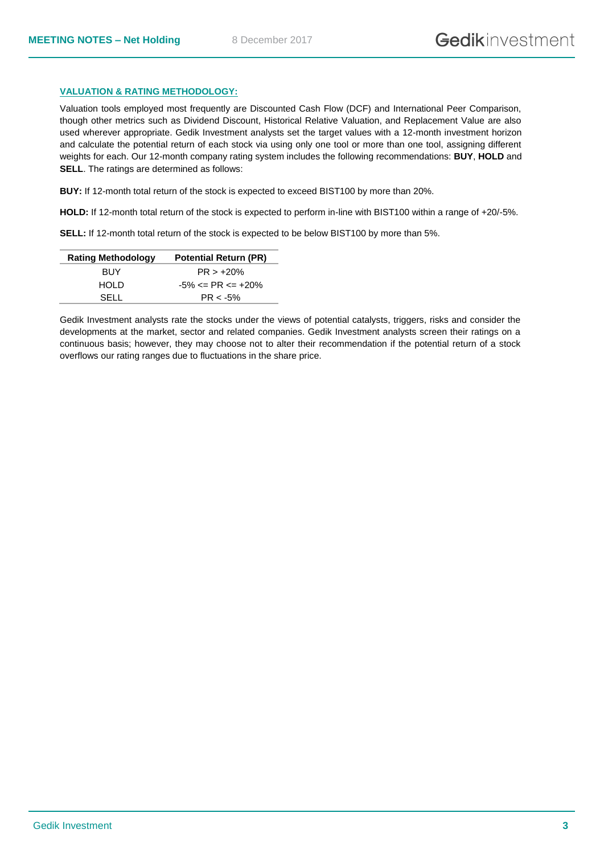### **VALUATION & RATING METHODOLOGY:**

Valuation tools employed most frequently are Discounted Cash Flow (DCF) and International Peer Comparison, though other metrics such as Dividend Discount, Historical Relative Valuation, and Replacement Value are also used wherever appropriate. Gedik Investment analysts set the target values with a 12-month investment horizon and calculate the potential return of each stock via using only one tool or more than one tool, assigning different weights for each. Our 12-month company rating system includes the following recommendations: **BUY**, **HOLD** and **SELL**. The ratings are determined as follows:

**BUY:** If 12-month total return of the stock is expected to exceed BIST100 by more than 20%.

**HOLD:** If 12-month total return of the stock is expected to perform in-line with BIST100 within a range of +20/-5%.

**SELL:** If 12-month total return of the stock is expected to be below BIST100 by more than 5%.

| <b>Rating Methodology</b> | <b>Potential Return (PR)</b> |
|---------------------------|------------------------------|
| <b>BUY</b>                | $PR > +20%$                  |
| HOLD.                     | $-5\% \le PR \le +20\%$      |
| SELL                      | $PR < -5\%$                  |

Gedik Investment analysts rate the stocks under the views of potential catalysts, triggers, risks and consider the developments at the market, sector and related companies. Gedik Investment analysts screen their ratings on a continuous basis; however, they may choose not to alter their recommendation if the potential return of a stock overflows our rating ranges due to fluctuations in the share price.